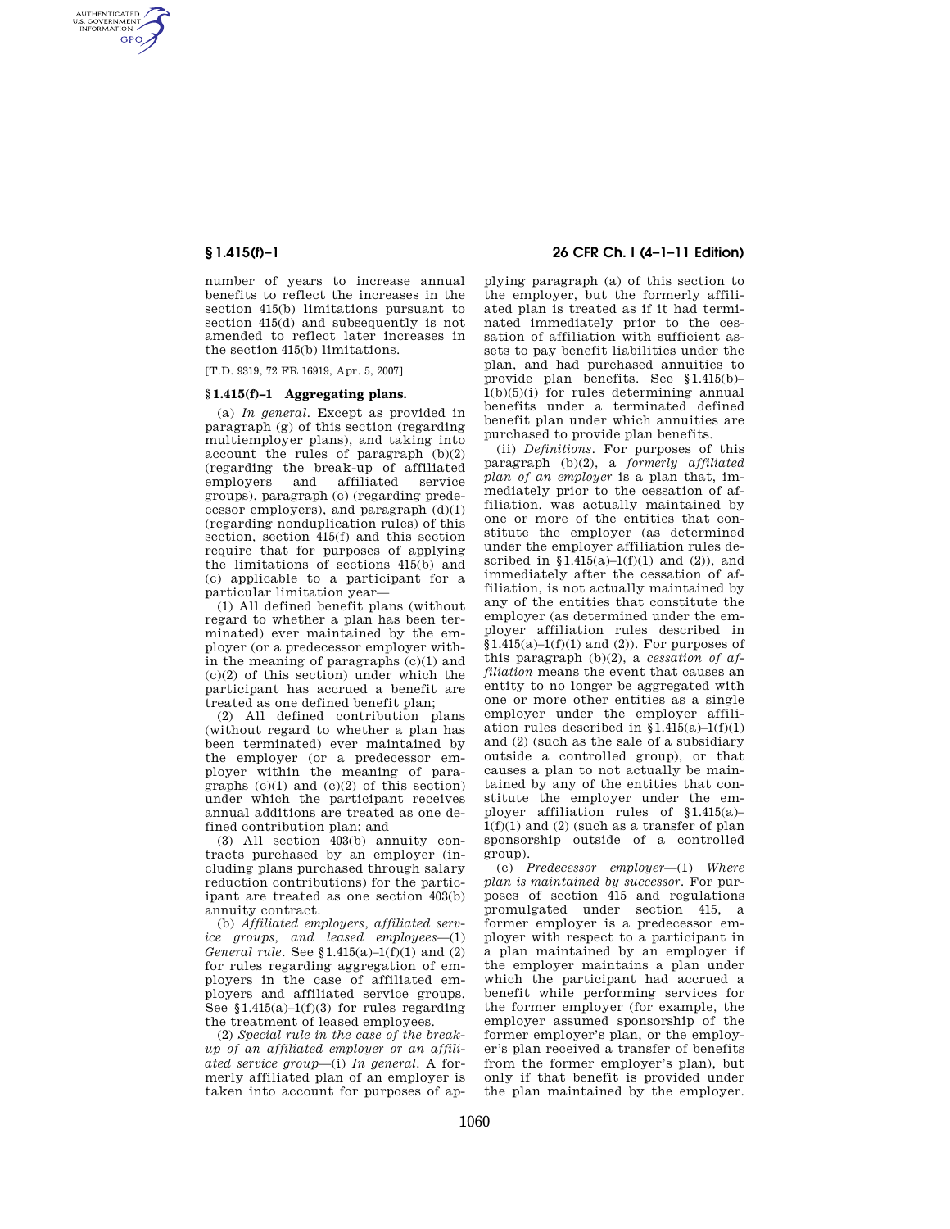AUTHENTICATED<br>U.S. GOVERNMENT<br>INFORMATION **GPO** 

> number of years to increase annual benefits to reflect the increases in the section 415(b) limitations pursuant to section 415(d) and subsequently is not amended to reflect later increases in the section 415(b) limitations.

[T.D. 9319, 72 FR 16919, Apr. 5, 2007]

### **§ 1.415(f)–1 Aggregating plans.**

(a) *In general.* Except as provided in paragraph (g) of this section (regarding multiemployer plans), and taking into account the rules of paragraph (b)(2) (regarding the break-up of affiliated employers and affiliated service groups), paragraph (c) (regarding predecessor employers), and paragraph (d)(1) (regarding nonduplication rules) of this section, section 415(f) and this section require that for purposes of applying the limitations of sections 415(b) and (c) applicable to a participant for a particular limitation year—

(1) All defined benefit plans (without regard to whether a plan has been terminated) ever maintained by the employer (or a predecessor employer within the meaning of paragraphs (c)(1) and (c)(2) of this section) under which the participant has accrued a benefit are treated as one defined benefit plan;

(2) All defined contribution plans (without regard to whether a plan has been terminated) ever maintained by the employer (or a predecessor employer within the meaning of paragraphs (c)(1) and (c)(2) of this section) under which the participant receives annual additions are treated as one defined contribution plan; and

(3) All section 403(b) annuity contracts purchased by an employer (including plans purchased through salary reduction contributions) for the participant are treated as one section 403(b) annuity contract.

(b) *Affiliated employers, affiliated service groups, and leased employees*—(1) *General rule.* See §1.415(a)–1(f)(1) and (2) for rules regarding aggregation of employers in the case of affiliated employers and affiliated service groups. See  $$1.415(a)-1(f)(3)$  for rules regarding the treatment of leased employees.

(2) *Special rule in the case of the breakup of an affiliated employer or an affiliated service group*—(i) *In general.* A formerly affiliated plan of an employer is taken into account for purposes of ap-

## **§ 1.415(f)–1 26 CFR Ch. I (4–1–11 Edition)**

plying paragraph (a) of this section to the employer, but the formerly affiliated plan is treated as if it had terminated immediately prior to the cessation of affiliation with sufficient assets to pay benefit liabilities under the plan, and had purchased annuities to provide plan benefits. See §1.415(b)– 1(b)(5)(i) for rules determining annual benefits under a terminated defined benefit plan under which annuities are purchased to provide plan benefits.

(ii) *Definitions.* For purposes of this paragraph (b)(2), a *formerly affiliated plan of an employer* is a plan that, immediately prior to the cessation of affiliation, was actually maintained by one or more of the entities that constitute the employer (as determined under the employer affiliation rules described in  $$1.415(a)-1(f)(1)$  and (2)), and immediately after the cessation of affiliation, is not actually maintained by any of the entities that constitute the employer (as determined under the employer affiliation rules described in  $$1.415(a)–1(f)(1)$  and  $(2)$ ). For purposes of this paragraph (b)(2), a *cessation of affiliation* means the event that causes an entity to no longer be aggregated with one or more other entities as a single employer under the employer affiliation rules described in  $$1.415(a)-1(f)(1)$ and (2) (such as the sale of a subsidiary outside a controlled group), or that causes a plan to not actually be maintained by any of the entities that constitute the employer under the employer affiliation rules of §1.415(a)–  $1(f)(1)$  and  $(2)$  (such as a transfer of plan sponsorship outside of a controlled group).

(c) *Predecessor employer*—(1) *Where plan is maintained by successor.* For purposes of section 415 and regulations promulgated under section 415, a former employer is a predecessor employer with respect to a participant in a plan maintained by an employer if the employer maintains a plan under which the participant had accrued a benefit while performing services for the former employer (for example, the employer assumed sponsorship of the former employer's plan, or the employer's plan received a transfer of benefits from the former employer's plan), but only if that benefit is provided under the plan maintained by the employer.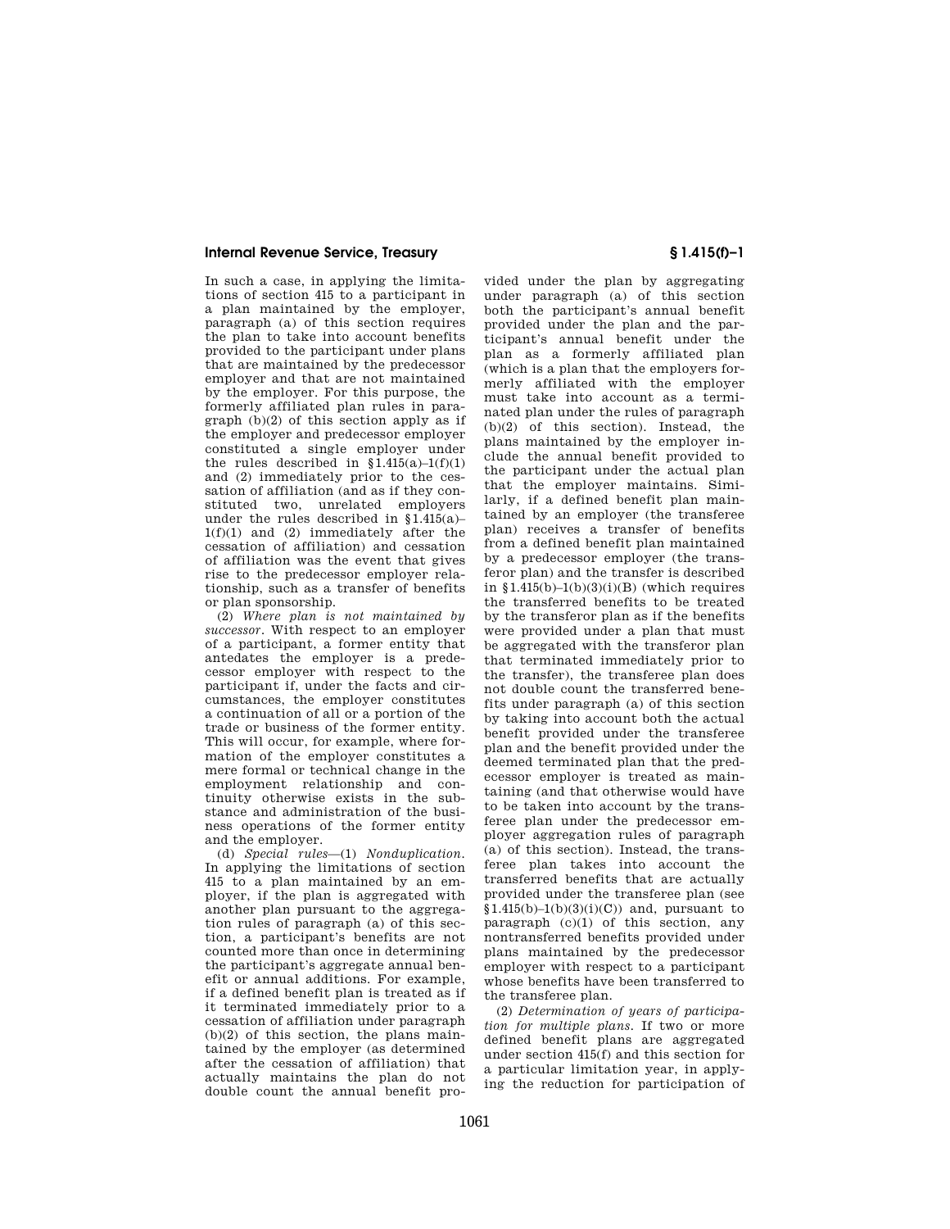In such a case, in applying the limitations of section 415 to a participant in a plan maintained by the employer, paragraph (a) of this section requires the plan to take into account benefits provided to the participant under plans that are maintained by the predecessor employer and that are not maintained by the employer. For this purpose, the formerly affiliated plan rules in paragraph (b)(2) of this section apply as if the employer and predecessor employer constituted a single employer under the rules described in  $§1.415(a)-1(f)(1)$ and (2) immediately prior to the cessation of affiliation (and as if they constituted two, unrelated employers under the rules described in  $§1.415(a)$ -1(f)(1) and (2) immediately after the cessation of affiliation) and cessation of affiliation was the event that gives rise to the predecessor employer relationship, such as a transfer of benefits or plan sponsorship.

(2) *Where plan is not maintained by successor.* With respect to an employer of a participant, a former entity that antedates the employer is a predecessor employer with respect to the participant if, under the facts and circumstances, the employer constitutes a continuation of all or a portion of the trade or business of the former entity. This will occur, for example, where formation of the employer constitutes a mere formal or technical change in the employment relationship and continuity otherwise exists in the substance and administration of the business operations of the former entity and the employer.

(d) *Special rules*—(1) *Nonduplication.*  In applying the limitations of section 415 to a plan maintained by an employer, if the plan is aggregated with another plan pursuant to the aggregation rules of paragraph (a) of this section, a participant's benefits are not counted more than once in determining the participant's aggregate annual benefit or annual additions. For example, if a defined benefit plan is treated as if it terminated immediately prior to a cessation of affiliation under paragraph  $(b)(2)$  of this section, the plans maintained by the employer (as determined after the cessation of affiliation) that actually maintains the plan do not double count the annual benefit pro-

vided under the plan by aggregating under paragraph (a) of this section both the participant's annual benefit provided under the plan and the participant's annual benefit under the plan as a formerly affiliated plan (which is a plan that the employers formerly affiliated with the employer must take into account as a terminated plan under the rules of paragraph (b)(2) of this section). Instead, the plans maintained by the employer include the annual benefit provided to the participant under the actual plan that the employer maintains. Similarly, if a defined benefit plan maintained by an employer (the transferee plan) receives a transfer of benefits from a defined benefit plan maintained by a predecessor employer (the transferor plan) and the transfer is described in  $1.415(b)-1(b)(3)(i)(B)$  (which requires the transferred benefits to be treated by the transferor plan as if the benefits were provided under a plan that must be aggregated with the transferor plan that terminated immediately prior to the transfer), the transferee plan does not double count the transferred benefits under paragraph (a) of this section by taking into account both the actual benefit provided under the transferee plan and the benefit provided under the deemed terminated plan that the predecessor employer is treated as maintaining (and that otherwise would have to be taken into account by the transferee plan under the predecessor employer aggregation rules of paragraph (a) of this section). Instead, the transferee plan takes into account the transferred benefits that are actually provided under the transferee plan (see  $$1.415(b)-1(b)(3)(i)(C)$  and, pursuant to paragraph  $(c)(1)$  of this section, any nontransferred benefits provided under plans maintained by the predecessor employer with respect to a participant whose benefits have been transferred to the transferee plan.

(2) *Determination of years of participation for multiple plans.* If two or more defined benefit plans are aggregated under section 415(f) and this section for a particular limitation year, in applying the reduction for participation of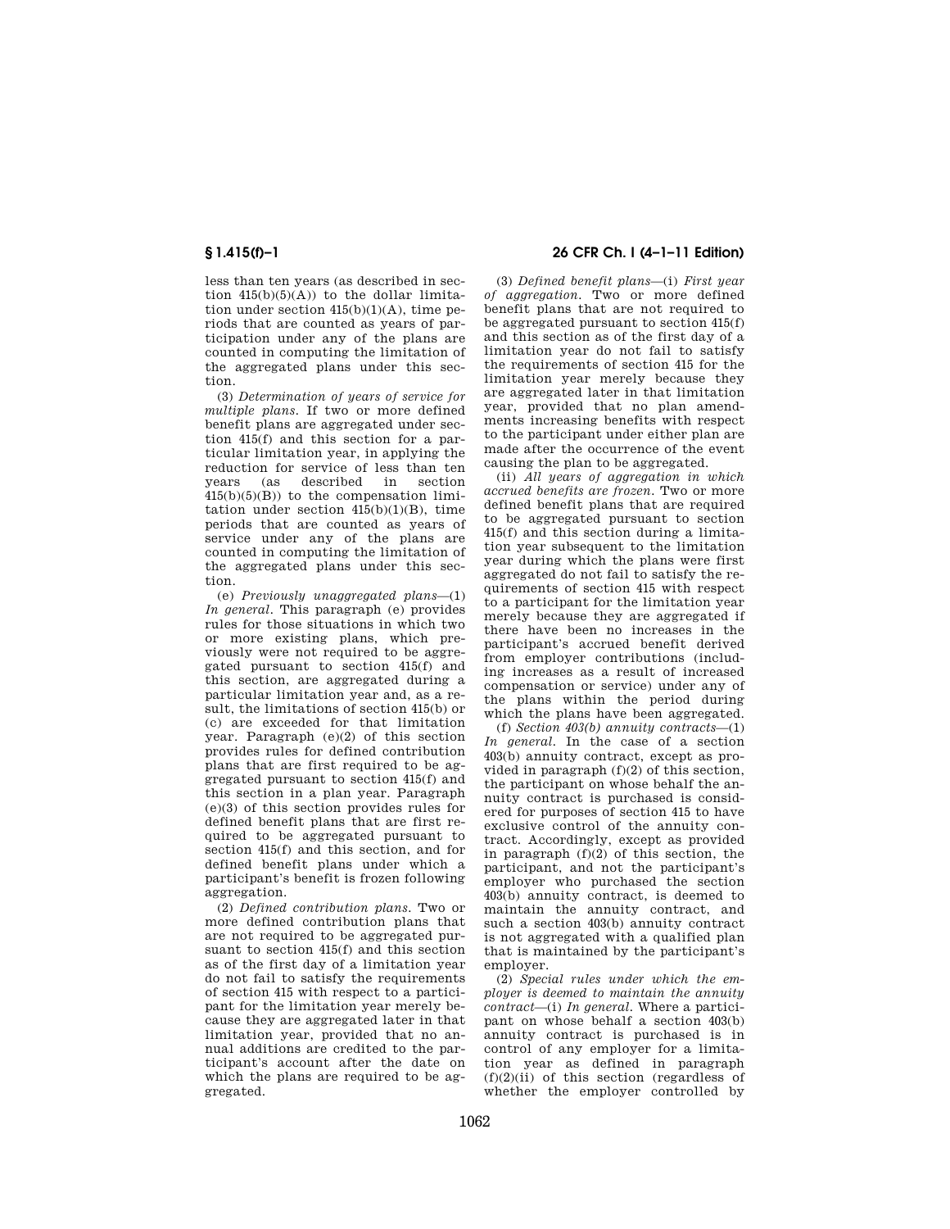less than ten years (as described in section  $415(b)(5)(A)$  to the dollar limitation under section  $415(b)(1)(A)$ , time periods that are counted as years of participation under any of the plans are counted in computing the limitation of the aggregated plans under this section.

(3) *Determination of years of service for multiple plans.* If two or more defined benefit plans are aggregated under section 415(f) and this section for a particular limitation year, in applying the reduction for service of less than ten years (as described in section  $415(b)(5)(B)$  to the compensation limitation under section  $415(b)(1)(B)$ , time periods that are counted as years of service under any of the plans are counted in computing the limitation of the aggregated plans under this section.

(e) *Previously unaggregated plans*—(1) *In general.* This paragraph (e) provides rules for those situations in which two or more existing plans, which previously were not required to be aggregated pursuant to section 415(f) and this section, are aggregated during a particular limitation year and, as a result, the limitations of section 415(b) or (c) are exceeded for that limitation year. Paragraph (e)(2) of this section provides rules for defined contribution plans that are first required to be aggregated pursuant to section 415(f) and this section in a plan year. Paragraph (e)(3) of this section provides rules for defined benefit plans that are first required to be aggregated pursuant to section 415(f) and this section, and for defined benefit plans under which a participant's benefit is frozen following aggregation.

(2) *Defined contribution plans.* Two or more defined contribution plans that are not required to be aggregated pursuant to section 415(f) and this section as of the first day of a limitation year do not fail to satisfy the requirements of section 415 with respect to a participant for the limitation year merely because they are aggregated later in that limitation year, provided that no annual additions are credited to the participant's account after the date on which the plans are required to be aggregated.

# **§ 1.415(f)–1 26 CFR Ch. I (4–1–11 Edition)**

(3) *Defined benefit plans*—(i) *First year of aggregation.* Two or more defined benefit plans that are not required to be aggregated pursuant to section 415(f) and this section as of the first day of a limitation year do not fail to satisfy the requirements of section 415 for the limitation year merely because they are aggregated later in that limitation year, provided that no plan amendments increasing benefits with respect to the participant under either plan are made after the occurrence of the event causing the plan to be aggregated.

(ii) *All years of aggregation in which accrued benefits are frozen.* Two or more defined benefit plans that are required to be aggregated pursuant to section 415(f) and this section during a limitation year subsequent to the limitation year during which the plans were first aggregated do not fail to satisfy the requirements of section 415 with respect to a participant for the limitation year merely because they are aggregated if there have been no increases in the participant's accrued benefit derived from employer contributions (including increases as a result of increased compensation or service) under any of the plans within the period during which the plans have been aggregated.

(f) *Section 403(b) annuity contracts*—(1) *In general.* In the case of a section 403(b) annuity contract, except as provided in paragraph (f)(2) of this section, the participant on whose behalf the annuity contract is purchased is considered for purposes of section 415 to have exclusive control of the annuity contract. Accordingly, except as provided in paragraph (f)(2) of this section, the participant, and not the participant's employer who purchased the section 403(b) annuity contract, is deemed to maintain the annuity contract, and such a section 403(b) annuity contract is not aggregated with a qualified plan that is maintained by the participant's employer.

(2) *Special rules under which the employer is deemed to maintain the annuity contract*—(i) *In general.* Where a participant on whose behalf a section 403(b) annuity contract is purchased is in control of any employer for a limitation year as defined in paragraph  $(f)(2)(ii)$  of this section (regardless of whether the employer controlled by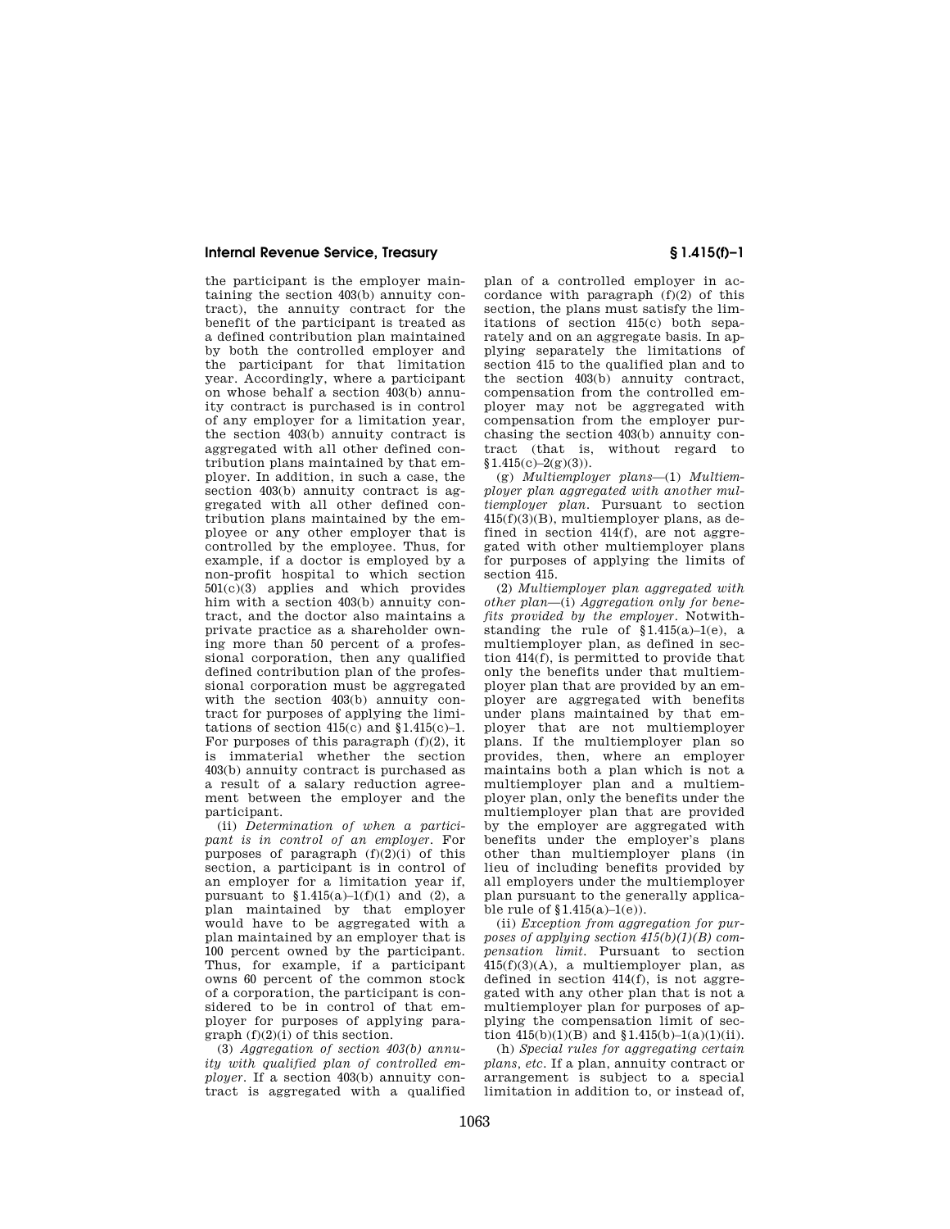the participant is the employer maintaining the section 403(b) annuity contract), the annuity contract for the benefit of the participant is treated as a defined contribution plan maintained by both the controlled employer and the participant for that limitation year. Accordingly, where a participant on whose behalf a section 403(b) annuity contract is purchased is in control of any employer for a limitation year, the section 403(b) annuity contract is aggregated with all other defined contribution plans maintained by that employer. In addition, in such a case, the section 403(b) annuity contract is aggregated with all other defined contribution plans maintained by the employee or any other employer that is controlled by the employee. Thus, for example, if a doctor is employed by a non-profit hospital to which section 501(c)(3) applies and which provides him with a section 403(b) annuity contract, and the doctor also maintains a private practice as a shareholder owning more than 50 percent of a professional corporation, then any qualified defined contribution plan of the professional corporation must be aggregated with the section 403(b) annuity contract for purposes of applying the limitations of section  $415(c)$  and  $$1.415(c)-1$ . For purposes of this paragraph  $(f)(2)$ , it is immaterial whether the section 403(b) annuity contract is purchased as a result of a salary reduction agreement between the employer and the participant.

(ii) *Determination of when a participant is in control of an employer.* For purposes of paragraph  $(f)(2)(i)$  of this section, a participant is in control of an employer for a limitation year if, pursuant to  $$1.415(a)-1(f)(1)$  and (2), a plan maintained by that employer would have to be aggregated with a plan maintained by an employer that is 100 percent owned by the participant. Thus, for example, if a participant owns 60 percent of the common stock of a corporation, the participant is considered to be in control of that employer for purposes of applying paragraph (f)(2)(i) of this section.

(3) *Aggregation of section 403(b) annuity with qualified plan of controlled employer.* If a section 403(b) annuity contract is aggregated with a qualified

plan of a controlled employer in accordance with paragraph  $(f)(2)$  of this section, the plans must satisfy the limitations of section 415(c) both separately and on an aggregate basis. In applying separately the limitations of section 415 to the qualified plan and to the section 403(b) annuity contract, compensation from the controlled employer may not be aggregated with compensation from the employer purchasing the section 403(b) annuity contract (that is, without regard to  $$1.415(c)-2(g)(3)$ .

(g) *Multiemployer plans*—(1) *Multiemployer plan aggregated with another multiemployer plan.* Pursuant to section  $415(f)(3)(B)$ , multiemployer plans, as defined in section  $414(f)$ , are not aggregated with other multiemployer plans for purposes of applying the limits of section 415.

(2) *Multiemployer plan aggregated with other plan*—(i) *Aggregation only for benefits provided by the employer.* Notwithstanding the rule of  $$1.415(a)-1(e)$ , a multiemployer plan, as defined in section 414(f), is permitted to provide that only the benefits under that multiemployer plan that are provided by an employer are aggregated with benefits under plans maintained by that employer that are not multiemployer plans. If the multiemployer plan so provides, then, where an employer maintains both a plan which is not a multiemployer plan and a multiemployer plan, only the benefits under the multiemployer plan that are provided by the employer are aggregated with benefits under the employer's plans other than multiemployer plans (in lieu of including benefits provided by all employers under the multiemployer plan pursuant to the generally applicable rule of  $$1.415(a)-1(e)$ .

(ii) *Exception from aggregation for purposes of applying section 415(b)(1)(B) compensation limit.* Pursuant to section 415(f)(3)(A), a multiemployer plan, as defined in section 414(f), is not aggregated with any other plan that is not a multiemployer plan for purposes of applying the compensation limit of section  $415(b)(1)(B)$  and  $$1.415(b)-1(a)(1)(ii)$ .

(h) *Special rules for aggregating certain plans, etc.* If a plan, annuity contract or arrangement is subject to a special limitation in addition to, or instead of,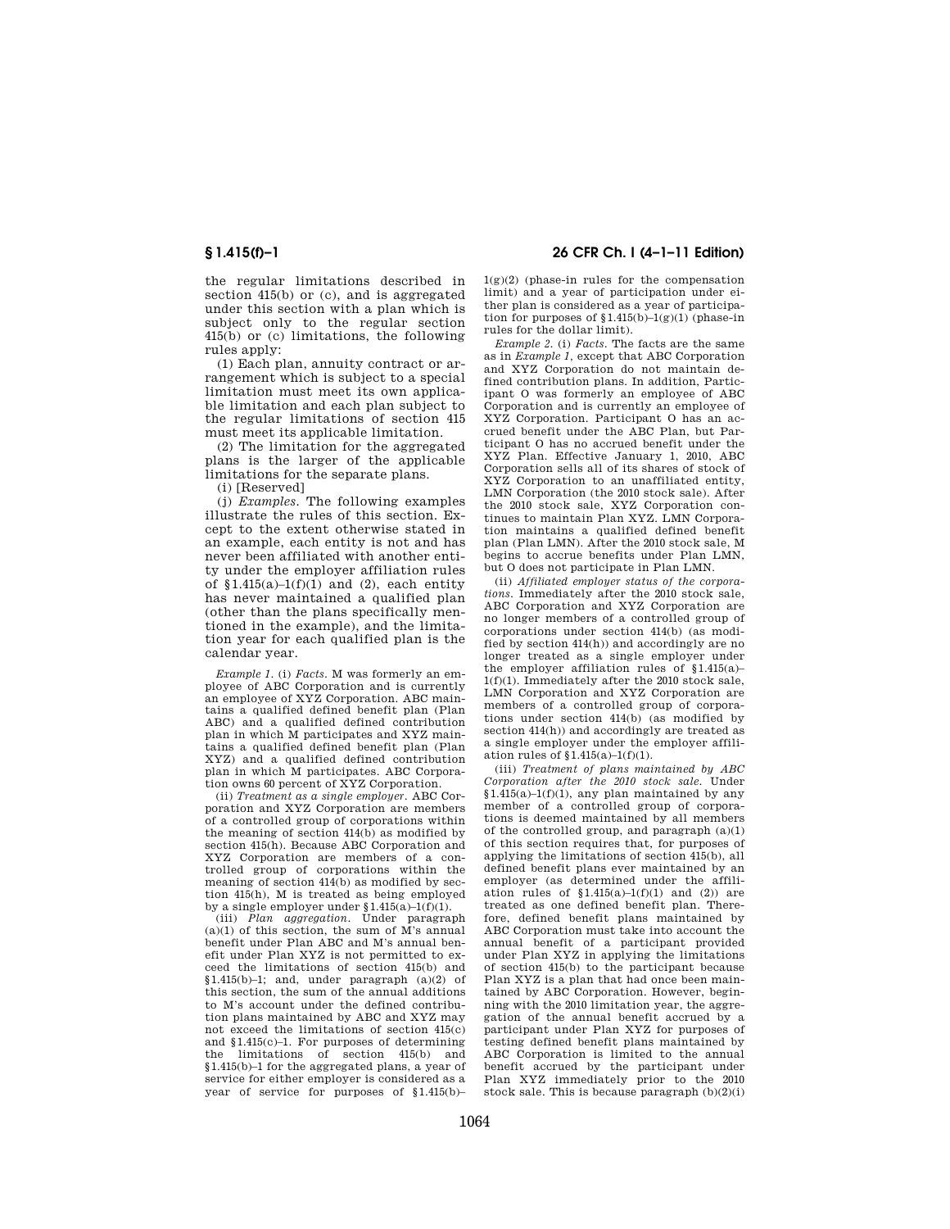the regular limitations described in section 415(b) or (c), and is aggregated under this section with a plan which is subject only to the regular section 415(b) or (c) limitations, the following rules apply:

(1) Each plan, annuity contract or arrangement which is subject to a special limitation must meet its own applicable limitation and each plan subject to the regular limitations of section 415 must meet its applicable limitation.

(2) The limitation for the aggregated plans is the larger of the applicable limitations for the separate plans.

(i) [Reserved]

(j) *Examples.* The following examples illustrate the rules of this section. Except to the extent otherwise stated in an example, each entity is not and has never been affiliated with another entity under the employer affiliation rules of  $$1.415(a)-1(f)(1)$  and (2), each entity has never maintained a qualified plan (other than the plans specifically mentioned in the example), and the limitation year for each qualified plan is the calendar year.

*Example 1.* (i) *Facts.* M was formerly an employee of ABC Corporation and is currently an employee of XYZ Corporation. ABC maintains a qualified defined benefit plan (Plan ABC) and a qualified defined contribution plan in which M participates and XYZ maintains a qualified defined benefit plan (Plan XYZ) and a qualified defined contribution plan in which M participates. ABC Corporation owns 60 percent of XYZ Corporation.

(ii) *Treatment as a single employer.* ABC Corporation and XYZ Corporation are members of a controlled group of corporations within the meaning of section 414(b) as modified by section 415(h). Because ABC Corporation and XYZ Corporation are members of a controlled group of corporations within the meaning of section 414(b) as modified by section 415(h), M is treated as being employed by a single employer under §1.415(a)–1(f)(1).

(iii) *Plan aggregation.* Under paragraph  $(a)(1)$  of this section, the sum of M's annual benefit under Plan ABC and M's annual benefit under Plan XYZ is not permitted to exceed the limitations of section 415(b) and §1.415(b)-1; and, under paragraph  $(a)(2)$  of this section, the sum of the annual additions to M's account under the defined contribution plans maintained by ABC and XYZ may not exceed the limitations of section 415(c) and §1.415(c)–1. For purposes of determining the limitations of section 415(b) and §1.415(b)–1 for the aggregated plans, a year of service for either employer is considered as a year of service for purposes of §1.415(b)–

**§ 1.415(f)–1 26 CFR Ch. I (4–1–11 Edition)** 

 $1(g)(2)$  (phase-in rules for the compensation limit) and a year of participation under either plan is considered as a year of participation for purposes of  $(1.415(b)-1(g)(1))$  (phase-in rules for the dollar limit).

*Example 2.* (i) *Facts.* The facts are the same as in *Example 1,* except that ABC Corporation and XYZ Corporation do not maintain defined contribution plans. In addition, Participant O was formerly an employee of ABC Corporation and is currently an employee of XYZ Corporation. Participant O has an accrued benefit under the ABC Plan, but Participant O has no accrued benefit under the XYZ Plan. Effective January 1, 2010, ABC Corporation sells all of its shares of stock of XYZ Corporation to an unaffiliated entity, LMN Corporation (the 2010 stock sale). After the 2010 stock sale, XYZ Corporation continues to maintain Plan XYZ. LMN Corporation maintains a qualified defined benefit plan (Plan LMN). After the 2010 stock sale, M begins to accrue benefits under Plan LMN, but O does not participate in Plan LMN.

(ii) *Affiliated employer status of the corporations.* Immediately after the 2010 stock sale, ABC Corporation and XYZ Corporation are no longer members of a controlled group of corporations under section 414(b) (as modified by section 414(h)) and accordingly are no longer treated as a single employer under the employer affiliation rules of §1.415(a)– 1(f)(1). Immediately after the 2010 stock sale, LMN Corporation and XYZ Corporation are members of a controlled group of corporations under section 414(b) (as modified by section 414(h)) and accordingly are treated as a single employer under the employer affiliation rules of §1.415(a)–1(f)(1).

(iii) *Treatment of plans maintained by ABC Corporation after the 2010 stock sale.* Under  $§1.415(a)-1(f)(1)$ , any plan maintained by any member of a controlled group of corporations is deemed maintained by all members of the controlled group, and paragraph (a)(1) of this section requires that, for purposes of applying the limitations of section 415(b), all defined benefit plans ever maintained by an employer (as determined under the affiliation rules of  $$1.415(a)-1(f)(1)$  and (2)) are treated as one defined benefit plan. Therefore, defined benefit plans maintained by ABC Corporation must take into account the annual benefit of a participant provided under Plan XYZ in applying the limitations of section 415(b) to the participant because Plan XYZ is a plan that had once been maintained by ABC Corporation. However, beginning with the 2010 limitation year, the aggregation of the annual benefit accrued by a participant under Plan XYZ for purposes of testing defined benefit plans maintained by ABC Corporation is limited to the annual benefit accrued by the participant under Plan XYZ immediately prior to the 2010 stock sale. This is because paragraph (b)(2)(i)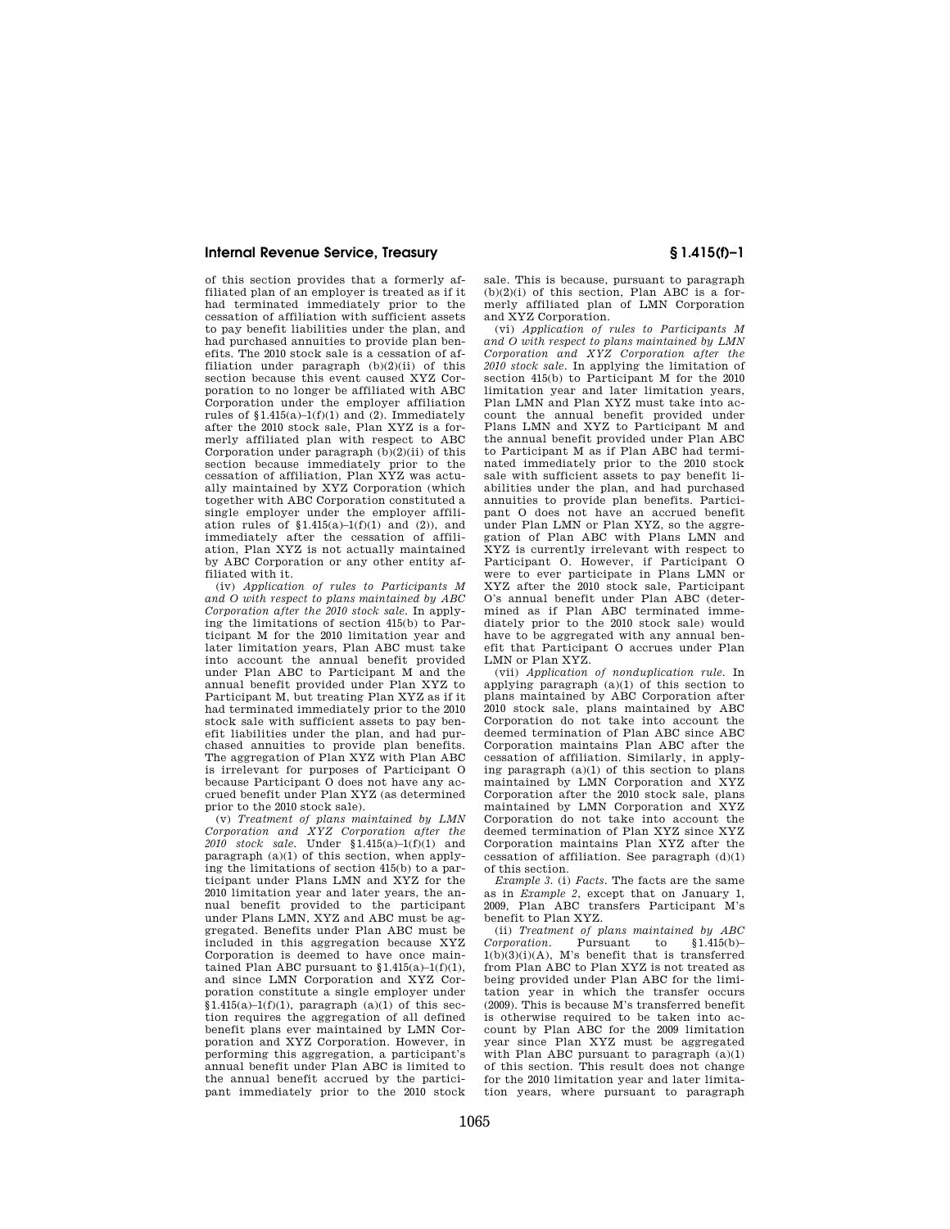of this section provides that a formerly affiliated plan of an employer is treated as if it had terminated immediately prior to the cessation of affiliation with sufficient assets to pay benefit liabilities under the plan, and had purchased annuities to provide plan benefits. The 2010 stock sale is a cessation of affiliation under paragraph  $(b)(2)(ii)$  of this section because this event caused XYZ Corporation to no longer be affiliated with ABC Corporation under the employer affiliation rules of  $$1.415(a)-1(f)(1)$  and (2). Immediately after the 2010 stock sale, Plan XYZ is a formerly affiliated plan with respect to ABC Corporation under paragraph  $(b)(2)(ii)$  of this section because immediately prior to the cessation of affiliation, Plan XYZ was actu-ally maintained by XYZ Corporation (which together with ABC Corporation constituted a single employer under the employer affiliation rules of  $$1.415(a)-1(f)(1)$  and (2)), and immediately after the cessation of affiliation, Plan XYZ is not actually maintained by ABC Corporation or any other entity affiliated with it.

(iv) *Application of rules to Participants M and O with respect to plans maintained by ABC Corporation after the 2010 stock sale.* In applying the limitations of section 415(b) to Participant M for the 2010 limitation year and later limitation years, Plan ABC must take into account the annual benefit provided under Plan ABC to Participant M and the annual benefit provided under Plan XYZ to Participant M, but treating Plan XYZ as if it had terminated immediately prior to the 2010 stock sale with sufficient assets to pay benefit liabilities under the plan, and had purchased annuities to provide plan benefits. The aggregation of Plan XYZ with Plan ABC is irrelevant for purposes of Participant O because Participant O does not have any accrued benefit under Plan XYZ (as determined prior to the 2010 stock sale).

(v) *Treatment of plans maintained by LMN Corporation and XYZ Corporation after the 2010 stock sale.* Under §1.415(a)–1(f)(1) and paragraph (a)(1) of this section, when applying the limitations of section 415(b) to a participant under Plans LMN and XYZ for the 2010 limitation year and later years, the annual benefit provided to the participant under Plans LMN, XYZ and ABC must be aggregated. Benefits under Plan ABC must be included in this aggregation because XYZ Corporation is deemed to have once maintained Plan ABC pursuant to  $$1.415(a)-1(f)(1),$ and since LMN Corporation and XYZ Corporation constitute a single employer under  $$1.415(a)-1(f)(1)$ , paragraph (a)(1) of this section requires the aggregation of all defined benefit plans ever maintained by LMN Corporation and XYZ Corporation. However, in performing this aggregation, a participant's annual benefit under Plan ABC is limited to the annual benefit accrued by the participant immediately prior to the 2010 stock

sale. This is because, pursuant to paragraph  $(b)(2)(i)$  of this section, Plan ABC is a formerly affiliated plan of LMN Corporation and XYZ Corporation.

(vi) *Application of rules to Participants M and O with respect to plans maintained by LMN Corporation and XYZ Corporation after the 2010 stock sale.* In applying the limitation of section 415(b) to Participant M for the 2010 limitation year and later limitation years, Plan LMN and Plan XYZ must take into account the annual benefit provided under Plans LMN and XYZ to Participant M and the annual benefit provided under Plan ABC to Participant M as if Plan ABC had terminated immediately prior to the 2010 stock sale with sufficient assets to pay benefit liabilities under the plan, and had purchased annuities to provide plan benefits. Participant O does not have an accrued benefit under Plan LMN or Plan XYZ, so the aggregation of Plan ABC with Plans LMN and XYZ is currently irrelevant with respect to Participant O. However, if Participant O were to ever participate in Plans LMN or XYZ after the 2010 stock sale, Participant O's annual benefit under Plan ABC (determined as if Plan ABC terminated immediately prior to the 2010 stock sale) would have to be aggregated with any annual benefit that Participant O accrues under Plan LMN or Plan XYZ.

(vii) *Application of nonduplication rule.* In applying paragraph  $(a)(1)$  of this section to plans maintained by ABC Corporation after 2010 stock sale, plans maintained by ABC Corporation do not take into account the deemed termination of Plan ABC since ABC Corporation maintains Plan ABC after the cessation of affiliation. Similarly, in applying paragraph (a)(1) of this section to plans maintained by LMN Corporation and XYZ Corporation after the 2010 stock sale, plans maintained by LMN Corporation and XYZ Corporation do not take into account the deemed termination of Plan XYZ since XYZ Corporation maintains Plan XYZ after the cessation of affiliation. See paragraph (d)(1) of this section.

*Example 3.* (i) *Facts.* The facts are the same as in *Example 2*, except that on January 1, 2009, Plan ABC transfers Participant M's benefit to Plan XYZ.

(ii) *Treatment of plans maintained by ABC Corporation.* Pursuant to  $1(b)(3)(i)(A)$ , M's benefit that is transferred from Plan ABC to Plan XYZ is not treated as being provided under Plan ABC for the limitation year in which the transfer occurs (2009). This is because M's transferred benefit is otherwise required to be taken into account by Plan ABC for the 2009 limitation year since Plan XYZ must be aggregated with Plan ABC pursuant to paragraph (a)(1) of this section. This result does not change for the 2010 limitation year and later limitation years, where pursuant to paragraph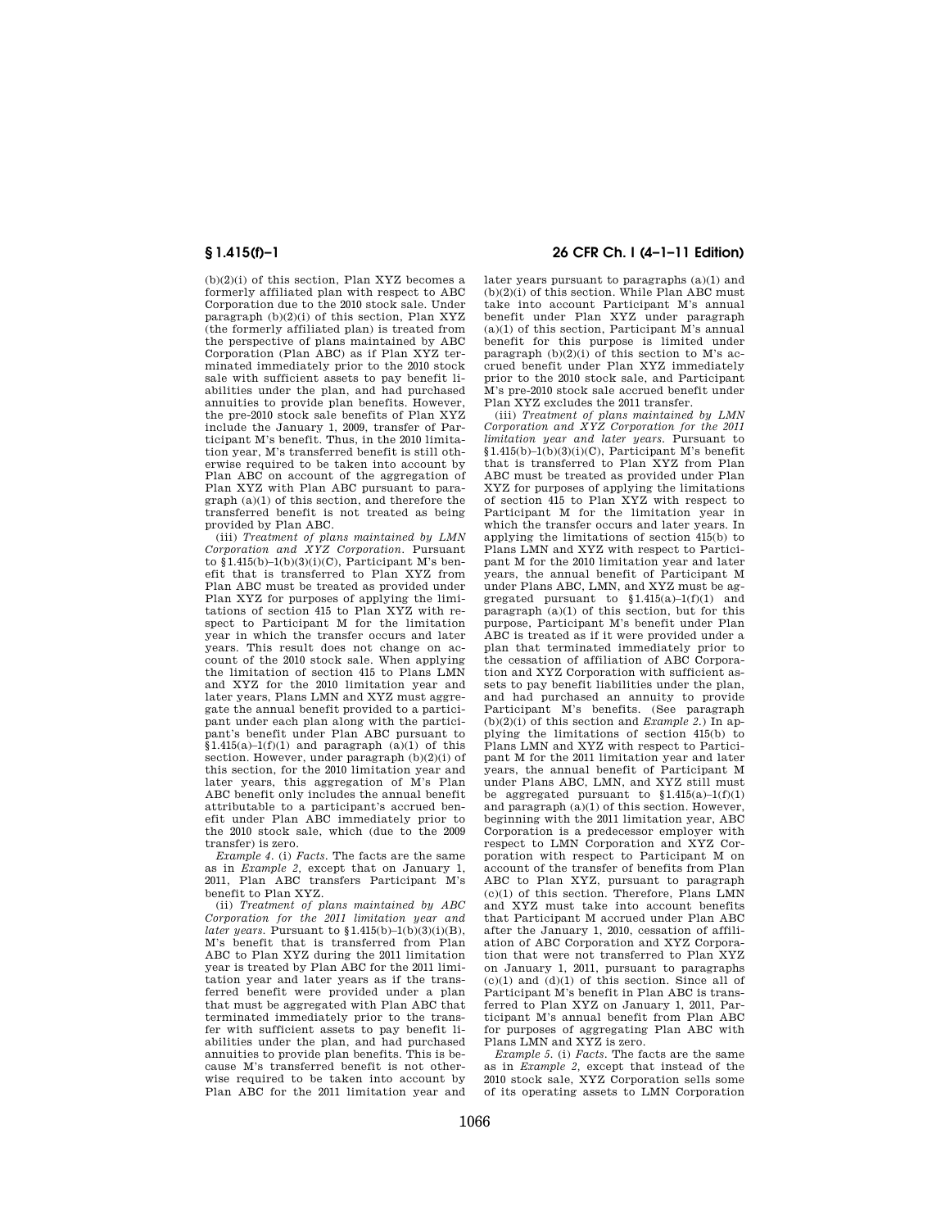(b)(2)(i) of this section, Plan XYZ becomes a formerly affiliated plan with respect to ABC Corporation due to the 2010 stock sale. Under paragraph  $(b)(2)(i)$  of this section. Plan XYZ (the formerly affiliated plan) is treated from the perspective of plans maintained by ABC Corporation (Plan ABC) as if Plan XYZ terminated immediately prior to the 2010 stock sale with sufficient assets to pay benefit liabilities under the plan, and had purchased annuities to provide plan benefits. However, the pre-2010 stock sale benefits of Plan XYZ include the January 1, 2009, transfer of Participant M's benefit. Thus, in the 2010 limitation year, M's transferred benefit is still otherwise required to be taken into account by Plan ABC on account of the aggregation of Plan XYZ with Plan ABC pursuant to paragraph (a)(1) of this section, and therefore the transferred benefit is not treated as being provided by Plan ABC.

(iii) *Treatment of plans maintained by LMN Corporation and XYZ Corporation.* Pursuant to  $\sin(415(b)-1(b)(3)(i)(C)$ , Participant M's benefit that is transferred to Plan XYZ from Plan ABC must be treated as provided under Plan XYZ for purposes of applying the limitations of section 415 to Plan XYZ with respect to Participant M for the limitation year in which the transfer occurs and later years. This result does not change on account of the 2010 stock sale. When applying the limitation of section 415 to Plans LMN and XYZ for the 2010 limitation year and later years, Plans LMN and XYZ must aggregate the annual benefit provided to a participant under each plan along with the participant's benefit under Plan ABC pursuant to  $$1.415(a)-1(f)(1)$  and paragraph  $(a)(1)$  of this section. However, under paragraph (b)(2)(i) of this section, for the 2010 limitation year and later years, this aggregation of M's Plan ABC benefit only includes the annual benefit attributable to a participant's accrued benefit under Plan ABC immediately prior to the 2010 stock sale, which (due to the 2009 transfer) is zero.

*Example 4.* (i) *Facts.* The facts are the same as in *Example 2,* except that on January 1, 2011, Plan ABC transfers Participant M's benefit to Plan XYZ.

(ii) *Treatment of plans maintained by ABC Corporation for the 2011 limitation year and later years.* Pursuant to  $\{1.415(b) - 1(b)(3)(i)(B)\}$ , M's benefit that is transferred from Plan ABC to Plan XYZ during the 2011 limitation year is treated by Plan ABC for the 2011 limitation year and later years as if the transferred benefit were provided under a plan that must be aggregated with Plan ABC that terminated immediately prior to the transfer with sufficient assets to pay benefit liabilities under the plan, and had purchased annuities to provide plan benefits. This is because M's transferred benefit is not otherwise required to be taken into account by Plan ABC for the 2011 limitation year and

## **§ 1.415(f)–1 26 CFR Ch. I (4–1–11 Edition)**

later years pursuant to paragraphs (a)(1) and  $(b)(2)(i)$  of this section. While Plan ABC must take into account Participant M's annual benefit under Plan XYZ under paragraph (a)(1) of this section, Participant M's annual benefit for this purpose is limited under paragraph  $(b)(2)(i)$  of this section to M's accrued benefit under Plan XYZ immediately prior to the 2010 stock sale, and Participant M's pre-2010 stock sale accrued benefit under Plan XYZ excludes the 2011 transfer.

(iii) *Treatment of plans maintained by LMN Corporation and XYZ Corporation for the 2011 limitation year and later years.* Pursuant to  $§1.415(b)-1(b)(3)(i)(C)$ , Participant M's benefit that is transferred to Plan XYZ from Plan ABC must be treated as provided under Plan XYZ for purposes of applying the limitations of section 415 to Plan XYZ with respect to Participant M for the limitation year in which the transfer occurs and later years. In applying the limitations of section 415(b) to Plans LMN and XYZ with respect to Participant M for the 2010 limitation year and later years, the annual benefit of Participant M under Plans ABC, LMN, and XYZ must be aggregated pursuant to  $$1.415(a)-1(f)(1)$  and paragraph  $(a)(1)$  of this section, but for this purpose, Participant M's benefit under Plan ABC is treated as if it were provided under a plan that terminated immediately prior to the cessation of affiliation of ABC Corporation and XYZ Corporation with sufficient assets to pay benefit liabilities under the plan, and had purchased an annuity to provide Participant M's benefits. (See paragraph  $(b)(2)(i)$  of this section and *Example 2.*) In applying the limitations of section 415(b) to Plans LMN and XYZ with respect to Participant M for the 2011 limitation year and later years, the annual benefit of Participant M under Plans ABC, LMN, and XYZ still must be aggregated pursuant to  $$1.415(a)-1(f)(1)$ and paragraph  $(a)(1)$  of this section. However, beginning with the 2011 limitation year, ABC Corporation is a predecessor employer with respect to LMN Corporation and XYZ Corporation with respect to Participant M on account of the transfer of benefits from Plan ABC to Plan XYZ, pursuant to paragraph  $(c)(1)$  of this section. Therefore, Plans LMN and XYZ must take into account benefits that Participant M accrued under Plan ABC after the January 1, 2010, cessation of affiliation of ABC Corporation and XYZ Corporation that were not transferred to Plan XYZ on January 1, 2011, pursuant to paragraphs  $(c)(1)$  and  $(d)(1)$  of this section. Since all of Participant M's benefit in Plan ABC is transferred to Plan XYZ on January 1, 2011, Participant M's annual benefit from Plan ABC for purposes of aggregating Plan ABC with Plans LMN and XYZ is zero.

*Example 5.* (i) *Facts.* The facts are the same as in *Example 2,* except that instead of the 2010 stock sale, XYZ Corporation sells some of its operating assets to LMN Corporation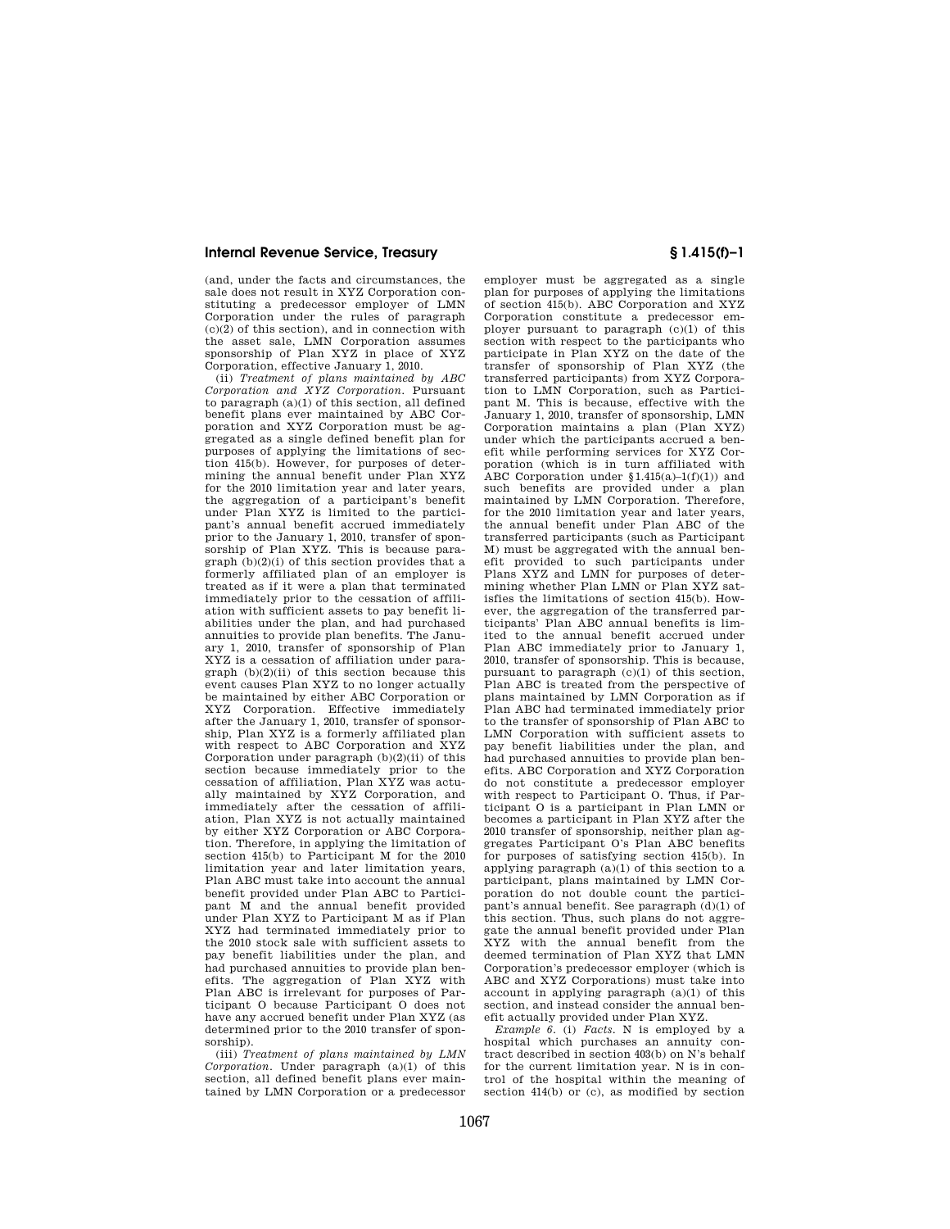(and, under the facts and circumstances, the sale does not result in XYZ Corporation constituting a predecessor employer of LMN Corporation under the rules of paragraph  $(c)(2)$  of this section), and in connection with the asset sale, LMN Corporation assumes sponsorship of Plan XYZ in place of XYZ Corporation, effective January 1, 2010.

(ii) *Treatment of plans maintained by ABC Corporation and XYZ Corporation.* Pursuant to paragraph (a)(1) of this section, all defined benefit plans ever maintained by ABC Corporation and XYZ Corporation must be aggregated as a single defined benefit plan for purposes of applying the limitations of section 415(b). However, for purposes of determining the annual benefit under Plan XYZ for the 2010 limitation year and later years, the aggregation of a participant's benefit under Plan XYZ is limited to the participant's annual benefit accrued immediately prior to the January 1, 2010, transfer of sponsorship of Plan XYZ. This is because para $graph( b)(2)(i)$  of this section provides that a formerly affiliated plan of an employer is treated as if it were a plan that terminated immediately prior to the cessation of affiliation with sufficient assets to pay benefit liabilities under the plan, and had purchased annuities to provide plan benefits. The January 1, 2010, transfer of sponsorship of Plan XYZ is a cessation of affiliation under paragraph  $(b)(2)(ii)$  of this section because this event causes Plan XYZ to no longer actually be maintained by either ABC Corporation or XYZ Corporation. Effective immediately after the January 1, 2010, transfer of sponsorship, Plan XYZ is a formerly affiliated plan with respect to ABC Corporation and XYZ Corporation under paragraph (b)(2)(ii) of this section because immediately prior to the cessation of affiliation, Plan XYZ was actually maintained by XYZ Corporation, and immediately after the cessation of affiliation, Plan XYZ is not actually maintained by either XYZ Corporation or ABC Corporation. Therefore, in applying the limitation of section 415(b) to Participant M for the 2010 limitation year and later limitation years, Plan ABC must take into account the annual benefit provided under Plan ABC to Participant M and the annual benefit provided under Plan XYZ to Participant M as if Plan XYZ had terminated immediately prior to the 2010 stock sale with sufficient assets to pay benefit liabilities under the plan, and had purchased annuities to provide plan benefits. The aggregation of Plan XYZ with Plan ABC is irrelevant for purposes of Participant O because Participant O does not have any accrued benefit under Plan XYZ (as determined prior to the 2010 transfer of sponsorship).

(iii) *Treatment of plans maintained by LMN Corporation.* Under paragraph (a)(1) of this section, all defined benefit plans ever maintained by LMN Corporation or a predecessor

employer must be aggregated as a single plan for purposes of applying the limitations of section 415(b). ABC Corporation and XYZ Corporation constitute a predecessor employer pursuant to paragraph (c)(1) of this section with respect to the participants who participate in Plan XYZ on the date of the transfer of sponsorship of Plan XYZ (the transferred participants) from XYZ Corporation to LMN Corporation, such as Participant M. This is because, effective with the January 1, 2010, transfer of sponsorship, LMN Corporation maintains a plan (Plan XYZ) under which the participants accrued a benefit while performing services for XYZ Corporation (which is in turn affiliated with ABC Corporation under §1.415(a)–1(f)(1)) and such benefits are provided under a plan maintained by LMN Corporation. Therefore, for the 2010 limitation year and later years, the annual benefit under Plan ABC of the transferred participants (such as Participant M) must be aggregated with the annual benefit provided to such participants under Plans XYZ and LMN for purposes of deter-mining whether Plan LMN or Plan XYZ satisfies the limitations of section 415(b). However, the aggregation of the transferred participants' Plan ABC annual benefits is limited to the annual benefit accrued under Plan ABC immediately prior to January 1, 2010, transfer of sponsorship. This is because, pursuant to paragraph  $(c)(1)$  of this section, Plan ABC is treated from the perspective of plans maintained by LMN Corporation as if Plan ABC had terminated immediately prior to the transfer of sponsorship of Plan ABC to LMN Corporation with sufficient assets to pay benefit liabilities under the plan, and had purchased annuities to provide plan benefits. ABC Corporation and XYZ Corporation do not constitute a predecessor employer with respect to Participant O. Thus, if Participant O is a participant in Plan LMN or becomes a participant in Plan XYZ after the 2010 transfer of sponsorship, neither plan aggregates Participant O's Plan ABC benefits for purposes of satisfying section 415(b). In applying paragraph  $(a)(1)$  of this section to a participant, plans maintained by LMN Corporation do not double count the participant's annual benefit. See paragraph (d)(1) of this section. Thus, such plans do not aggregate the annual benefit provided under Plan XYZ with the annual benefit from the deemed termination of Plan XYZ that LMN Corporation's predecessor employer (which is ABC and XYZ Corporations) must take into account in applying paragraph (a)(1) of this section, and instead consider the annual benefit actually provided under Plan XYZ.

*Example 6.* (i) *Facts.* N is employed by a hospital which purchases an annuity contract described in section 403(b) on N's behalf for the current limitation year. N is in control of the hospital within the meaning of section 414(b) or (c), as modified by section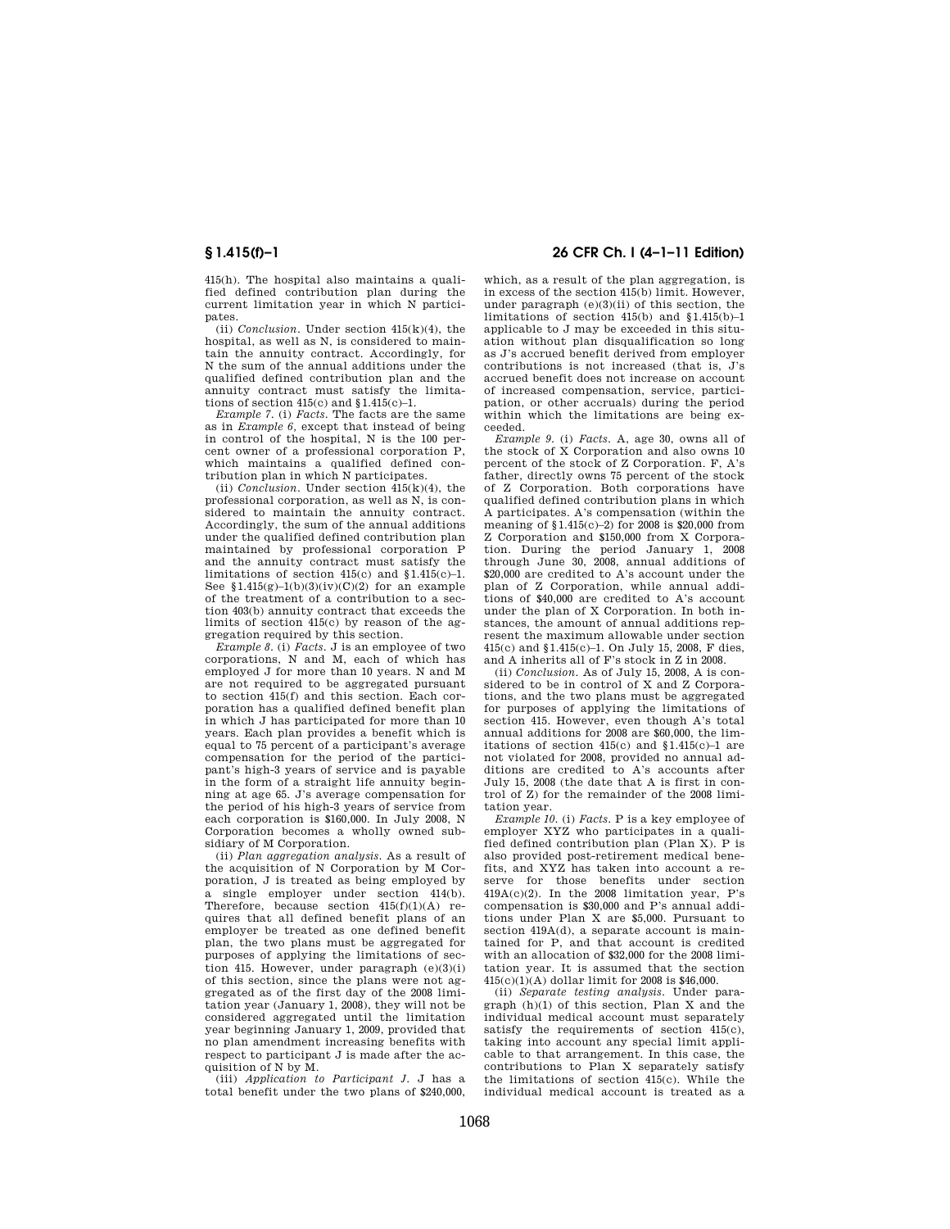415(h). The hospital also maintains a qualified defined contribution plan during the current limitation year in which N participates.

(ii) *Conclusion.* Under section 415(k)(4), the hospital, as well as N, is considered to maintain the annuity contract. Accordingly, for N the sum of the annual additions under the qualified defined contribution plan and the annuity contract must satisfy the limitations of section  $415(c)$  and  $$1.415(c)-1$ .

*Example 7.* (i) *Facts.* The facts are the same as in *Example 6,* except that instead of being in control of the hospital, N is the 100 percent owner of a professional corporation P, which maintains a qualified defined contribution plan in which N participates.

(ii) *Conclusion*. Under section  $\overline{415(k)(4)}$ , the professional corporation, as well as N, is considered to maintain the annuity contract. Accordingly, the sum of the annual additions under the qualified defined contribution plan maintained by professional corporation P and the annuity contract must satisfy the limitations of section  $415(c)$  and  $$1.415(c)-1$ . See  $$1.415(g)-1(b)(3)(iv)(C)(2)$  for an example of the treatment of a contribution to a section 403(b) annuity contract that exceeds the limits of section 415(c) by reason of the aggregation required by this section.

*Example 8.* (i) *Facts.* J is an employee of two corporations, N and M, each of which has employed J for more than 10 years. N and M are not required to be aggregated pursuant to section 415(f) and this section. Each corporation has a qualified defined benefit plan in which J has participated for more than 10 years. Each plan provides a benefit which is equal to 75 percent of a participant's average compensation for the period of the participant's high-3 years of service and is payable in the form of a straight life annuity beginning at age 65. J's average compensation for the period of his high-3 years of service from each corporation is \$160,000. In July 2008, N Corporation becomes a wholly owned subsidiary of M Corporation.

(ii) *Plan aggregation analysis.* As a result of the acquisition of N Corporation by M Corporation, J is treated as being employed by a single employer under section 414(b). Therefore, because section 415(f)(1)(A) requires that all defined benefit plans of an employer be treated as one defined benefit plan, the two plans must be aggregated for purposes of applying the limitations of section 415. However, under paragraph  $(e)(3)(i)$ of this section, since the plans were not aggregated as of the first day of the 2008 limitation year (January 1, 2008), they will not be considered aggregated until the limitation year beginning January 1, 2009, provided that no plan amendment increasing benefits with respect to participant J is made after the acquisition of N by M.

(iii) *Application to Participant J.* J has a total benefit under the two plans of \$240,000,

# **§ 1.415(f)–1 26 CFR Ch. I (4–1–11 Edition)**

which, as a result of the plan aggregation, is in excess of the section 415(b) limit. However, under paragraph  $(e)(3)(ii)$  of this section, the limitations of section 415(b) and §1.415(b)–1 applicable to J may be exceeded in this situation without plan disqualification so long as J's accrued benefit derived from employer contributions is not increased (that is, J's accrued benefit does not increase on account of increased compensation, service, participation, or other accruals) during the period within which the limitations are being exceeded.

*Example 9.* (i) *Facts.* A, age 30, owns all of the stock of X Corporation and also owns 10 percent of the stock of Z Corporation. F, A's father, directly owns 75 percent of the stock of Z Corporation. Both corporations have qualified defined contribution plans in which A participates. A's compensation (within the meaning of §1.415(c)–2) for 2008 is \$20,000 from Z Corporation and \$150,000 from X Corporation. During the period January 1, 2008 through June 30, 2008, annual additions of \$20,000 are credited to A's account under the plan of Z Corporation, while annual additions of \$40,000 are credited to A's account under the plan of X Corporation. In both instances, the amount of annual additions represent the maximum allowable under section 415(c) and §1.415(c)–1. On July 15, 2008, F dies, and A inherits all of F's stock in Z in 2008.

(ii) *Conclusion.* As of July 15, 2008, A is considered to be in control of X and Z Corporations, and the two plans must be aggregated for purposes of applying the limitations of section 415. However, even though A's total annual additions for 2008 are \$60,000, the limitations of section  $415(c)$  and  $$1.415(c)-1$  are not violated for 2008, provided no annual additions are credited to A's accounts after July 15, 2008 (the date that A is first in control of Z) for the remainder of the 2008 limitation year.

*Example 10.* (i) *Facts.* P is a key employee of employer XYZ who participates in a qualified defined contribution plan (Plan X). P is also provided post-retirement medical benefits, and XYZ has taken into account a reserve for those benefits under section  $419A(c)(2)$ . In the 2008 limitation year, P's compensation is \$30,000 and P's annual additions under Plan X are \$5,000. Pursuant to section 419A(d), a separate account is maintained for P, and that account is credited with an allocation of \$32,000 for the 2008 limitation year. It is assumed that the section 415(c)(1)(A) dollar limit for 2008 is \$46,000.

(ii) *Separate testing analysis.* Under paragraph (h)(1) of this section, Plan X and the individual medical account must separately satisfy the requirements of section 415(c), taking into account any special limit applicable to that arrangement. In this case, the contributions to Plan X separately satisfy the limitations of section 415(c). While the individual medical account is treated as a